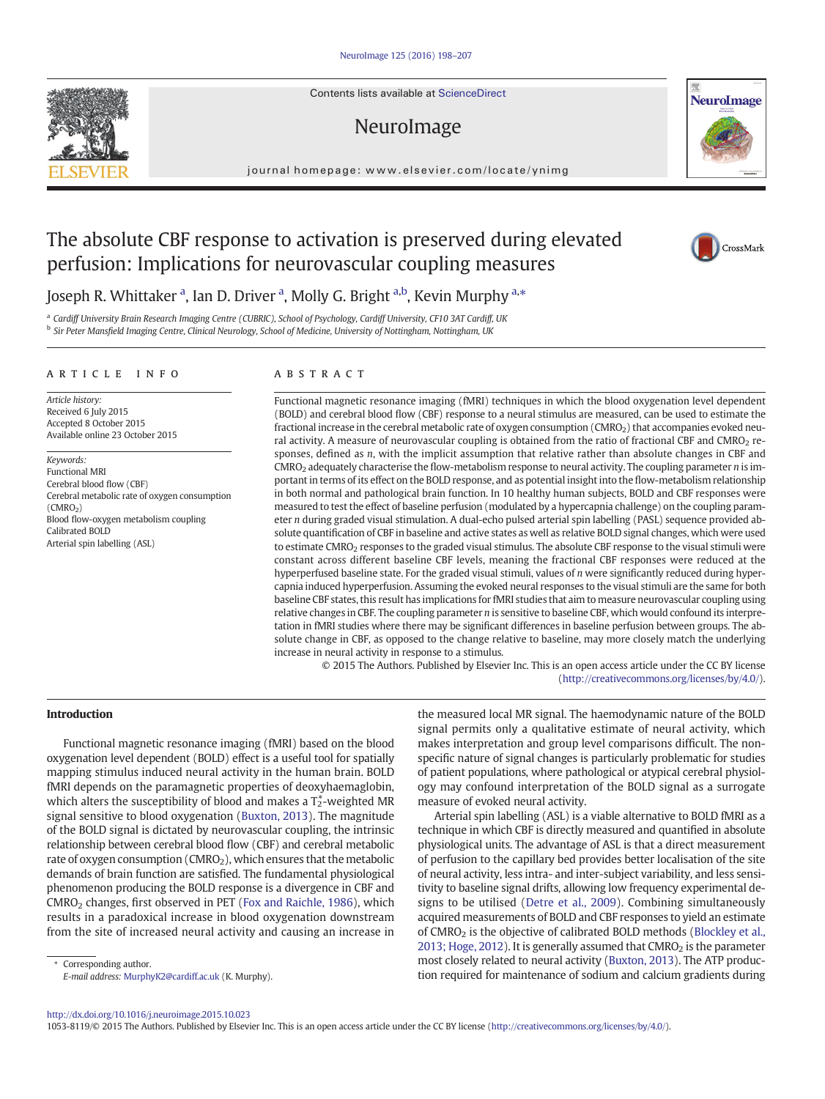Contents lists available at ScienceDirect

# NeuroImage

journal homepage:<www.elsevier.com/locate/ynimg>



# The absolute CBF response to activation is preserved during elevated perfusion: Implications for neurovascular coupling measures



# Joseph R. Whittaker <sup>a</sup>, Ian D. Driver <sup>a</sup>, Molly G. Bright <sup>a,b</sup>, Kevin Murphy <sup>a,\*</sup>

a Cardiff University Brain Research Imaging Centre (CUBRIC), School of Psychology, Cardiff University, CF10 3AT Cardiff, UK <sup>b</sup> Sir Peter Mansfield Imaging Centre, Clinical Neurology, School of Medicine, University of Nottingham, Nottingham, UK

#### article info abstract

Article history: Received 6 July 2015 Accepted 8 October 2015 Available online 23 October 2015

Keywords: Functional MRI Cerebral blood flow (CBF) Cerebral metabolic rate of oxygen consumption (CMRO2) Blood flow-oxygen metabolism coupling Calibrated BOLD Arterial spin labelling (ASL)

Functional magnetic resonance imaging (fMRI) techniques in which the blood oxygenation level dependent (BOLD) and cerebral blood flow (CBF) response to a neural stimulus are measured, can be used to estimate the fractional increase in the cerebral metabolic rate of oxygen consumption (CMRO<sub>2</sub>) that accompanies evoked neural activity. A measure of neurovascular coupling is obtained from the ratio of fractional CBF and CMRO<sub>2</sub> responses, defined as n, with the implicit assumption that relative rather than absolute changes in CBF and  $CMRO<sub>2</sub>$  adequately characterise the flow-metabolism response to neural activity. The coupling parameter  $n$  is important in terms of its effect on the BOLD response, and as potential insight into the flow-metabolism relationship in both normal and pathological brain function. In 10 healthy human subjects, BOLD and CBF responses were measured to test the effect of baseline perfusion (modulated by a hypercapnia challenge) on the coupling parameter n during graded visual stimulation. A dual-echo pulsed arterial spin labelling (PASL) sequence provided absolute quantification of CBF in baseline and active states as well as relative BOLD signal changes, which were used to estimate CMRO<sub>2</sub> responses to the graded visual stimulus. The absolute CBF response to the visual stimuli were constant across different baseline CBF levels, meaning the fractional CBF responses were reduced at the hyperperfused baseline state. For the graded visual stimuli, values of n were significantly reduced during hypercapnia induced hyperperfusion. Assuming the evoked neural responses to the visual stimuli are the same for both baseline CBF states, this result has implications for fMRI studies that aim to measure neurovascular coupling using relative changes in CBF. The coupling parameter  $n$  is sensitive to baseline CBF, which would confound its interpretation in fMRI studies where there may be significant differences in baseline perfusion between groups. The absolute change in CBF, as opposed to the change relative to baseline, may more closely match the underlying increase in neural activity in response to a stimulus.

© 2015 The Authors. Published by Elsevier Inc. This is an open access article under the CC BY license [\(http://creativecommons.org/licenses/by/4.0/](http://creativecommons.org/licenses/by/4.0/)).

# Introduction

Functional magnetic resonance imaging (fMRI) based on the blood oxygenation level dependent (BOLD) effect is a useful tool for spatially mapping stimulus induced neural activity in the human brain. BOLD fMRI depends on the paramagnetic properties of deoxyhaemaglobin, which alters the susceptibility of blood and makes a  $T_2^*$ -weighted MR signal sensitive to blood oxygenation [\(Buxton, 2013](#page-8-0)). The magnitude of the BOLD signal is dictated by neurovascular coupling, the intrinsic relationship between cerebral blood flow (CBF) and cerebral metabolic rate of oxygen consumption ( $CMRO<sub>2</sub>$ ), which ensures that the metabolic demands of brain function are satisfied. The fundamental physiological phenomenon producing the BOLD response is a divergence in CBF and CMRO2 changes, first observed in PET ([Fox and Raichle, 1986\)](#page-8-0), which results in a paradoxical increase in blood oxygenation downstream from the site of increased neural activity and causing an increase in

Corresponding author. E-mail address: [MurphyK2@cardiff.ac.uk](mailto:MurphyK2@cardiff.ac.uk) (K. Murphy). the measured local MR signal. The haemodynamic nature of the BOLD signal permits only a qualitative estimate of neural activity, which makes interpretation and group level comparisons difficult. The nonspecific nature of signal changes is particularly problematic for studies of patient populations, where pathological or atypical cerebral physiology may confound interpretation of the BOLD signal as a surrogate measure of evoked neural activity.

Arterial spin labelling (ASL) is a viable alternative to BOLD fMRI as a technique in which CBF is directly measured and quantified in absolute physiological units. The advantage of ASL is that a direct measurement of perfusion to the capillary bed provides better localisation of the site of neural activity, less intra- and inter-subject variability, and less sensitivity to baseline signal drifts, allowing low frequency experimental designs to be utilised ([Detre et al., 2009](#page-8-0)). Combining simultaneously acquired measurements of BOLD and CBF responses to yield an estimate of CMRO<sub>2</sub> is the objective of calibrated BOLD methods [\(Blockley et al.,](#page-8-0) [2013; Hoge, 2012\)](#page-8-0). It is generally assumed that  $CMRO<sub>2</sub>$  is the parameter most closely related to neural activity ([Buxton, 2013\)](#page-8-0). The ATP production required for maintenance of sodium and calcium gradients during

<http://dx.doi.org/10.1016/j.neuroimage.2015.10.023>

1053-8119/© 2015 The Authors. Published by Elsevier Inc. This is an open access article under the CC BY license (<http://creativecommons.org/licenses/by/4.0/>).

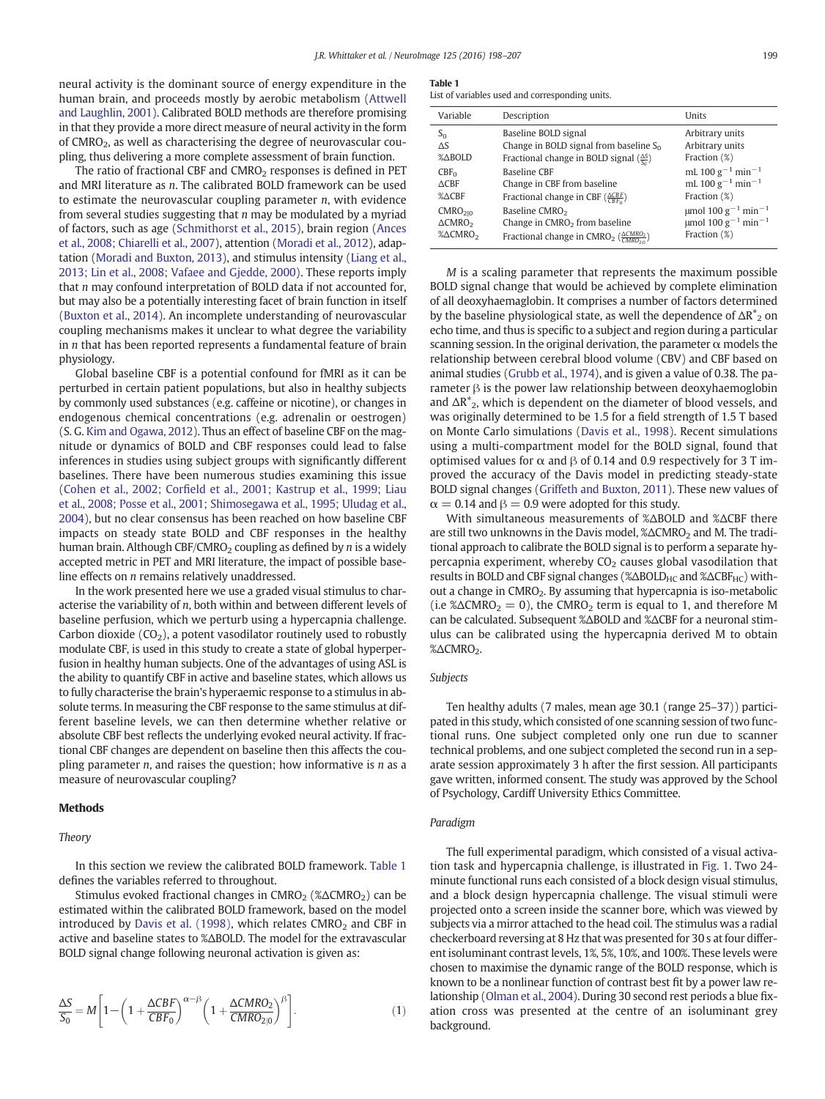<span id="page-1-0"></span>neural activity is the dominant source of energy expenditure in the human brain, and proceeds mostly by aerobic metabolism ([Attwell](#page-8-0) [and Laughlin, 2001\)](#page-8-0). Calibrated BOLD methods are therefore promising in that they provide a more direct measure of neural activity in the form of CMRO<sub>2</sub>, as well as characterising the degree of neurovascular coupling, thus delivering a more complete assessment of brain function.

The ratio of fractional CBF and  $CMRO<sub>2</sub>$  responses is defined in PET and MRI literature as n. The calibrated BOLD framework can be used to estimate the neurovascular coupling parameter  $n$ , with evidence from several studies suggesting that  $n$  may be modulated by a myriad of factors, such as age ([Schmithorst et al., 2015](#page-9-0)), brain region [\(Ances](#page-8-0) [et al., 2008; Chiarelli et al., 2007](#page-8-0)), attention [\(Moradi et al., 2012](#page-9-0)), adaptation [\(Moradi and Buxton, 2013](#page-9-0)), and stimulus intensity [\(Liang et al.,](#page-9-0) [2013; Lin et al., 2008; Vafaee and Gjedde, 2000\)](#page-9-0). These reports imply that  $n$  may confound interpretation of BOLD data if not accounted for, but may also be a potentially interesting facet of brain function in itself [\(Buxton et al., 2014](#page-8-0)). An incomplete understanding of neurovascular coupling mechanisms makes it unclear to what degree the variability in  $n$  that has been reported represents a fundamental feature of brain physiology.

Global baseline CBF is a potential confound for fMRI as it can be perturbed in certain patient populations, but also in healthy subjects by commonly used substances (e.g. caffeine or nicotine), or changes in endogenous chemical concentrations (e.g. adrenalin or oestrogen) (S. G. [Kim and Ogawa, 2012](#page-9-0)). Thus an effect of baseline CBF on the magnitude or dynamics of BOLD and CBF responses could lead to false inferences in studies using subject groups with significantly different baselines. There have been numerous studies examining this issue (Cohen et al., 2002; Corfi[eld et al., 2001; Kastrup et al., 1999; Liau](#page-8-0) [et al., 2008; Posse et al., 2001; Shimosegawa et al., 1995; Uludag et al.,](#page-8-0) [2004\)](#page-8-0), but no clear consensus has been reached on how baseline CBF impacts on steady state BOLD and CBF responses in the healthy human brain. Although CBF/CMRO<sub>2</sub> coupling as defined by *n* is a widely accepted metric in PET and MRI literature, the impact of possible baseline effects on n remains relatively unaddressed.

In the work presented here we use a graded visual stimulus to characterise the variability of n, both within and between different levels of baseline perfusion, which we perturb using a hypercapnia challenge. Carbon dioxide  $(CO<sub>2</sub>)$ , a potent vasodilator routinely used to robustly modulate CBF, is used in this study to create a state of global hyperperfusion in healthy human subjects. One of the advantages of using ASL is the ability to quantify CBF in active and baseline states, which allows us to fully characterise the brain's hyperaemic response to a stimulus in absolute terms. In measuring the CBF response to the same stimulus at different baseline levels, we can then determine whether relative or absolute CBF best reflects the underlying evoked neural activity. If fractional CBF changes are dependent on baseline then this affects the coupling parameter  $n$ , and raises the question; how informative is  $n$  as a measure of neurovascular coupling?

# Methods

#### Theory

In this section we review the calibrated BOLD framework. Table 1 defines the variables referred to throughout.

Stimulus evoked fractional changes in CMRO<sub>2</sub> (%ΔCMRO<sub>2</sub>) can be estimated within the calibrated BOLD framework, based on the model introduced by [Davis et al. \(1998\),](#page-8-0) which relates  $CMRO<sub>2</sub>$  and CBF in active and baseline states to %ΔBOLD. The model for the extravascular BOLD signal change following neuronal activation is given as:

$$
\frac{\Delta S}{S_0} = M \left[ 1 - \left( 1 + \frac{\Delta CBF}{CBF_0} \right)^{\alpha - \beta} \left( 1 + \frac{\Delta CMRO_2}{CMRO_{2|0}} \right)^{\beta} \right].
$$
\n(1)

#### Table 1

List of variables used and corresponding units.

| Variable            | Description                                                                     | Units                                           |
|---------------------|---------------------------------------------------------------------------------|-------------------------------------------------|
| $S_0$               | Baseline BOLD signal                                                            | Arbitrary units                                 |
| $\Delta S$          | Change in BOLD signal from baseline $S_0$                                       | Arbitrary units                                 |
| %ABOLD              | Fractional change in BOLD signal $(\frac{\Delta S}{C})$                         | Fraction (%)                                    |
| $CBF_0$             | <b>Baseline CBF</b>                                                             | mL 100 $g^{-1}$ min <sup>-1</sup>               |
| $\triangle$ CBF     | Change in CBF from baseline                                                     | mL 100 $g^{-1}$ min <sup>-1</sup>               |
| %∆CBF               | Fractional change in CBF $(\frac{\Delta CBF}{CBE_0})$                           | Fraction (%)                                    |
| CMRO <sub>210</sub> | Baseline CMRO <sub>2</sub>                                                      | $\mu$ mol 100 g <sup>-1</sup> min <sup>-1</sup> |
| $\triangle CMRO2$   | Change in $CMRO2$ from baseline                                                 | umol 100 g <sup>-1</sup> min <sup>-1</sup>      |
| %∆CMRO <sub>2</sub> | Fractional change in CMRO <sub>2</sub> ( $\frac{\triangle CMRO_2}{CMRO_{2s}}$ ) | Fraction (%)                                    |

M is a scaling parameter that represents the maximum possible BOLD signal change that would be achieved by complete elimination of all deoxyhaemaglobin. It comprises a number of factors determined by the baseline physiological state, as well the dependence of  $\Delta R^*_{2}$  on echo time, and thus is specific to a subject and region during a particular scanning session. In the original derivation, the parameter  $\alpha$  models the relationship between cerebral blood volume (CBV) and CBF based on animal studies [\(Grubb et al., 1974](#page-8-0)), and is given a value of 0.38. The parameter β is the power law relationship between deoxyhaemoglobin and  $\Delta R^*_{2}$ , which is dependent on the diameter of blood vessels, and was originally determined to be 1.5 for a field strength of 1.5 T based on Monte Carlo simulations ([Davis et al., 1998](#page-8-0)). Recent simulations using a multi-compartment model for the BOLD signal, found that optimised values for  $\alpha$  and  $\beta$  of 0.14 and 0.9 respectively for 3 T improved the accuracy of the Davis model in predicting steady-state BOLD signal changes ([Griffeth and Buxton, 2011](#page-8-0)). These new values of  $\alpha = 0.14$  and  $\beta = 0.9$  were adopted for this study.

With simultaneous measurements of %ΔBOLD and %ΔCBF there are still two unknowns in the Davis model,  $\% \triangle CMRO_2$  and M. The traditional approach to calibrate the BOLD signal is to perform a separate hypercapnia experiment, whereby  $CO<sub>2</sub>$  causes global vasodilation that results in BOLD and CBF signal changes (%ΔBOLD<sub>HC</sub> and %ΔCBF<sub>HC</sub>) without a change in CMRO<sub>2</sub>. By assuming that hypercapnia is iso-metabolic (i.e % $\triangle CMRO_2 = 0$ ), the CMRO<sub>2</sub> term is equal to 1, and therefore M can be calculated. Subsequent %ΔBOLD and %ΔCBF for a neuronal stimulus can be calibrated using the hypercapnia derived M to obtain %ΔCMRO<sub>2</sub>.

# Subjects

Ten healthy adults (7 males, mean age 30.1 (range 25–37)) participated in this study, which consisted of one scanning session of two functional runs. One subject completed only one run due to scanner technical problems, and one subject completed the second run in a separate session approximately 3 h after the first session. All participants gave written, informed consent. The study was approved by the School of Psychology, Cardiff University Ethics Committee.

# Paradigm

The full experimental paradigm, which consisted of a visual activation task and hypercapnia challenge, is illustrated in [Fig. 1.](#page-2-0) Two 24 minute functional runs each consisted of a block design visual stimulus, and a block design hypercapnia challenge. The visual stimuli were projected onto a screen inside the scanner bore, which was viewed by subjects via a mirror attached to the head coil. The stimulus was a radial checkerboard reversing at 8 Hz that was presented for 30 s at four different isoluminant contrast levels, 1%, 5%, 10%, and 100%. These levels were chosen to maximise the dynamic range of the BOLD response, which is known to be a nonlinear function of contrast best fit by a power law relationship ([Olman et al., 2004\)](#page-9-0). During 30 second rest periods a blue fixation cross was presented at the centre of an isoluminant grey background.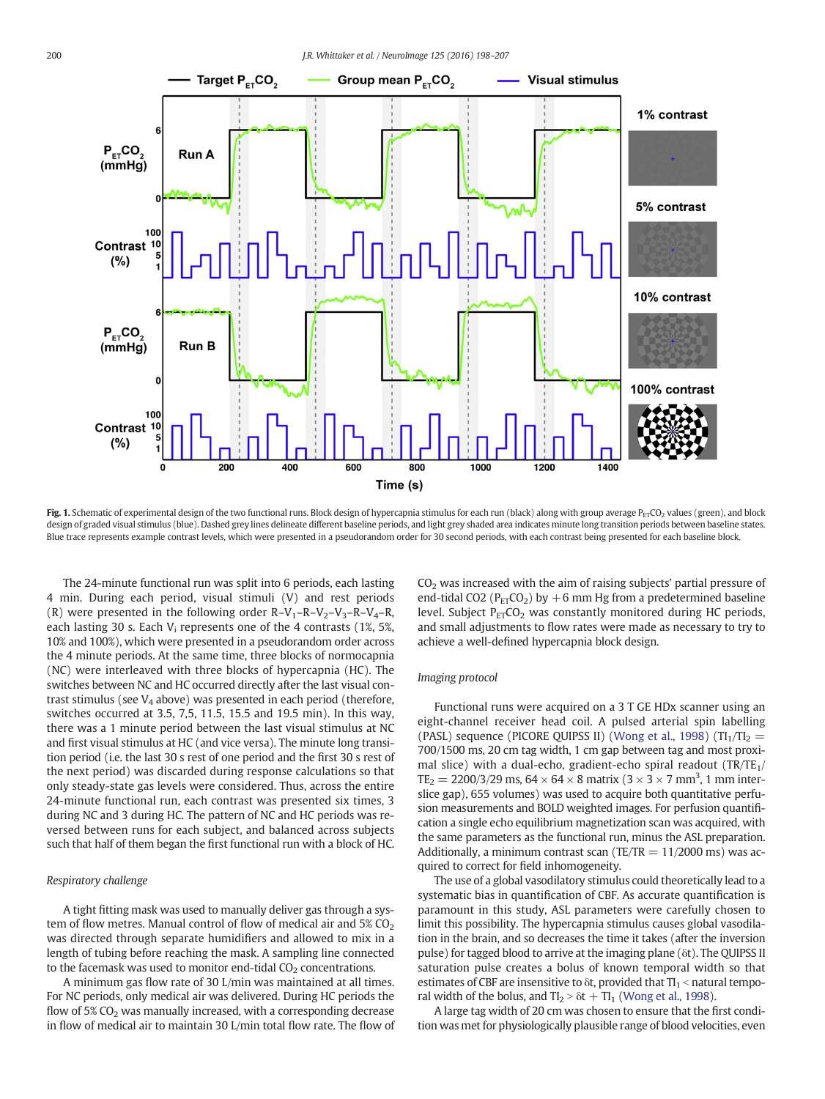<span id="page-2-0"></span>

Fig. 1. Schematic of experimental design of the two functional runs. Block design of hypercapnia stimulus for each run (black) along with group average  $P_{ET}CO_2$  values (green), and block design of graded visual stimulus (blue). Dashed grey lines delineate different baseline periods, and light grey shaded area indicates minute long transition periods between baseline states. Blue trace represents example contrast levels, which were presented in a pseudorandom order for 30 second periods, with each contrast being presented for each baseline block.

The 24-minute functional run was split into 6 periods, each lasting 4 min. During each period, visual stimuli (V) and rest periods (R) were presented in the following order  $R-V_1-R-V_2-V_3-R-V_4-R$ , each lasting 30 s. Each  $V_i$  represents one of the 4 contrasts (1%, 5%, 10% and 100%), which were presented in a pseudorandom order across the 4 minute periods. At the same time, three blocks of normocapnia (NC) were interleaved with three blocks of hypercapnia (HC). The switches between NC and HC occurred directly after the last visual contrast stimulus (see  $V_4$  above) was presented in each period (therefore, switches occurred at 3.5, 7,5, 11.5, 15.5 and 19.5 min). In this way, there was a 1 minute period between the last visual stimulus at NC and first visual stimulus at HC (and vice versa). The minute long transition period (i.e. the last 30 s rest of one period and the first 30 s rest of the next period) was discarded during response calculations so that only steady-state gas levels were considered. Thus, across the entire 24-minute functional run, each contrast was presented six times, 3 during NC and 3 during HC. The pattern of NC and HC periods was reversed between runs for each subject, and balanced across subjects such that half of them began the first functional run with a block of HC.

### Respiratory challenge

A tight fitting mask was used to manually deliver gas through a system of flow metres. Manual control of flow of medical air and  $5\%$  CO<sub>2</sub> was directed through separate humidifiers and allowed to mix in a length of tubing before reaching the mask. A sampling line connected to the facemask was used to monitor end-tidal  $CO<sub>2</sub>$  concentrations.

A minimum gas flow rate of 30 L/min was maintained at all times. For NC periods, only medical air was delivered. During HC periods the flow of  $5\%$  CO<sub>2</sub> was manually increased, with a corresponding decrease in flow of medical air to maintain 30 L/min total flow rate. The flow of  $CO<sub>2</sub>$  was increased with the aim of raising subjects' partial pressure of end-tidal CO2 ( $P_{ET}CO_2$ ) by +6 mm Hg from a predetermined baseline level. Subject  $P_{ET}CO_2$  was constantly monitored during HC periods, and small adjustments to flow rates were made as necessary to try to achieve a well-defined hypercapnia block design.

#### Imaging protocol

Functional runs were acquired on a 3 T GE HDx scanner using an eight-channel receiver head coil. A pulsed arterial spin labelling (PASL) sequence (PICORE QUIPSS II) [\(Wong et al., 1998\)](#page-9-0) (TI<sub>1</sub>/TI<sub>2</sub> = 700/1500 ms, 20 cm tag width, 1 cm gap between tag and most proximal slice) with a dual-echo, gradient-echo spiral readout  $(TR/TE_1/$  $TE_2 = 2200/3/29$  ms,  $64 \times 64 \times 8$  matrix (3  $\times$  3  $\times$  7 mm<sup>3</sup>, 1 mm interslice gap), 655 volumes) was used to acquire both quantitative perfusion measurements and BOLD weighted images. For perfusion quantification a single echo equilibrium magnetization scan was acquired, with the same parameters as the functional run, minus the ASL preparation. Additionally, a minimum contrast scan (TE/TR  $= 11/2000$  ms) was acquired to correct for field inhomogeneity.

The use of a global vasodilatory stimulus could theoretically lead to a systematic bias in quantification of CBF. As accurate quantification is paramount in this study, ASL parameters were carefully chosen to limit this possibility. The hypercapnia stimulus causes global vasodilation in the brain, and so decreases the time it takes (after the inversion pulse) for tagged blood to arrive at the imaging plane (δt). The QUIPSS II saturation pulse creates a bolus of known temporal width so that estimates of CBF are insensitive to  $\delta t$ , provided that  $TI_1 <$  natural temporal width of the bolus, and  $TI_2 > \delta t + TI_1$  [\(Wong et al., 1998](#page-9-0)).

A large tag width of 20 cm was chosen to ensure that the first condition was met for physiologically plausible range of blood velocities, even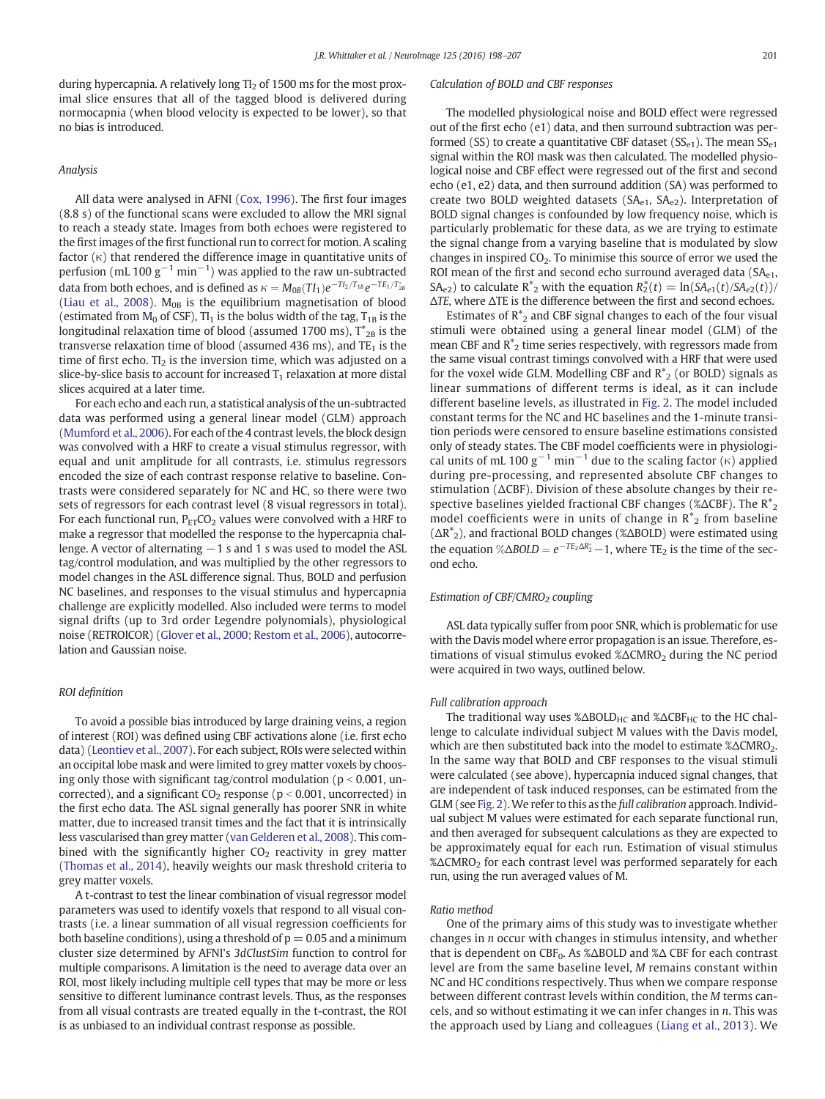during hypercapnia. A relatively long  $T_2$  of 1500 ms for the most proximal slice ensures that all of the tagged blood is delivered during normocapnia (when blood velocity is expected to be lower), so that no bias is introduced.

### Analysis

All data were analysed in AFNI [\(Cox, 1996\)](#page-8-0). The first four images (8.8 s) of the functional scans were excluded to allow the MRI signal to reach a steady state. Images from both echoes were registered to the first images of the first functional run to correct for motion. A scaling factor (κ) that rendered the difference image in quantitative units of perfusion (mL 100  $g^{-1}$  min $^{-1}$ ) was applied to the raw un-subtracted data from both echoes, and is defined as  $\kappa = M_{0B}(TI_1)e^{-T I_2/T_{1B}}e^{-T E_1/T_{2B}^*}$ [\(Liau et al., 2008\)](#page-9-0).  $M_{OB}$  is the equilibrium magnetisation of blood (estimated from  $M_0$  of CSF), TI<sub>1</sub> is the bolus width of the tag,  $T_{1B}$  is the longitudinal relaxation time of blood (assumed 1700 ms),  $T^*_{2B}$  is the transverse relaxation time of blood (assumed 436 ms), and  $TE<sub>1</sub>$  is the time of first echo. T $I_2$  is the inversion time, which was adjusted on a slice-by-slice basis to account for increased  $T_1$  relaxation at more distal slices acquired at a later time.

For each echo and each run, a statistical analysis of the un-subtracted data was performed using a general linear model (GLM) approach [\(Mumford et al., 2006](#page-9-0)). For each of the 4 contrast levels, the block design was convolved with a HRF to create a visual stimulus regressor, with equal and unit amplitude for all contrasts, i.e. stimulus regressors encoded the size of each contrast response relative to baseline. Contrasts were considered separately for NC and HC, so there were two sets of regressors for each contrast level (8 visual regressors in total). For each functional run,  $P_{ET}CO_2$  values were convolved with a HRF to make a regressor that modelled the response to the hypercapnia challenge. A vector of alternating −1 s and 1 s was used to model the ASL tag/control modulation, and was multiplied by the other regressors to model changes in the ASL difference signal. Thus, BOLD and perfusion NC baselines, and responses to the visual stimulus and hypercapnia challenge are explicitly modelled. Also included were terms to model signal drifts (up to 3rd order Legendre polynomials), physiological noise (RETROICOR) [\(Glover et al., 2000; Restom et al., 2006](#page-8-0)), autocorrelation and Gaussian noise.

#### ROI definition

To avoid a possible bias introduced by large draining veins, a region of interest (ROI) was defined using CBF activations alone (i.e. first echo data) [\(Leontiev et al., 2007\)](#page-9-0). For each subject, ROIs were selected within an occipital lobe mask and were limited to grey matter voxels by choosing only those with significant tag/control modulation ( $p < 0.001$ , uncorrected), and a significant  $CO<sub>2</sub>$  response ( $p < 0.001$ , uncorrected) in the first echo data. The ASL signal generally has poorer SNR in white matter, due to increased transit times and the fact that it is intrinsically less vascularised than grey matter [\(van Gelderen et al., 2008](#page-9-0)). This combined with the significantly higher  $CO<sub>2</sub>$  reactivity in grey matter [\(Thomas et al., 2014\)](#page-9-0), heavily weights our mask threshold criteria to grey matter voxels.

A t-contrast to test the linear combination of visual regressor model parameters was used to identify voxels that respond to all visual contrasts (i.e. a linear summation of all visual regression coefficients for both baseline conditions), using a threshold of  $p = 0.05$  and a minimum cluster size determined by AFNI's 3dClustSim function to control for multiple comparisons. A limitation is the need to average data over an ROI, most likely including multiple cell types that may be more or less sensitive to different luminance contrast levels. Thus, as the responses from all visual contrasts are treated equally in the t-contrast, the ROI is as unbiased to an individual contrast response as possible.

# Calculation of BOLD and CBF responses

The modelled physiological noise and BOLD effect were regressed out of the first echo (e1) data, and then surround subtraction was performed (SS) to create a quantitative CBF dataset ( $SS_{e1}$ ). The mean  $SS_{e1}$ signal within the ROI mask was then calculated. The modelled physiological noise and CBF effect were regressed out of the first and second echo (e1, e2) data, and then surround addition (SA) was performed to create two BOLD weighted datasets (SA<sub>e1</sub>, SA<sub>e2</sub>). Interpretation of BOLD signal changes is confounded by low frequency noise, which is particularly problematic for these data, as we are trying to estimate the signal change from a varying baseline that is modulated by slow changes in inspired  $CO<sub>2</sub>$ . To minimise this source of error we used the ROI mean of the first and second echo surround averaged data (SA<sub>e1</sub>, SA<sub>e2</sub>) to calculate  $R^*_{2}$  with the equation  $R^*_{2}(t) = \ln(SA_{e1}(t)/SA_{e2}(t))$ ΔTE, where ΔTE is the difference between the first and second echoes.

Estimates of  $R^*_{2}$  and CBF signal changes to each of the four visual stimuli were obtained using a general linear model (GLM) of the mean CBF and  $R^*$ <sub>2</sub> time series respectively, with regressors made from the same visual contrast timings convolved with a HRF that were used for the voxel wide GLM. Modelling CBF and  $R^*_{2}$  (or BOLD) signals as linear summations of different terms is ideal, as it can include different baseline levels, as illustrated in [Fig. 2.](#page-4-0) The model included constant terms for the NC and HC baselines and the 1-minute transition periods were censored to ensure baseline estimations consisted only of steady states. The CBF model coefficients were in physiological units of mL 100  $g^{-1}$  min<sup>-1</sup> due to the scaling factor ( $\kappa$ ) applied during pre-processing, and represented absolute CBF changes to stimulation (ΔCBF). Division of these absolute changes by their respective baselines yielded fractional CBF changes (%ΔCBF). The R<sup>\*</sup><sub>2</sub> model coefficients were in units of change in  $R^*$ <sub>2</sub> from baseline  $(\Delta R^*_{2})$ , and fractional BOLD changes (% $\Delta$ BOLD) were estimated using the equation % $\triangle BOLD = e^{-TE_2\triangle R_2^*} - 1$ , where TE<sub>2</sub> is the time of the second echo.

# Estimation of CBF/CMRO<sub>2</sub> coupling

ASL data typically suffer from poor SNR, which is problematic for use with the Davis model where error propagation is an issue. Therefore, estimations of visual stimulus evoked %ΔCMRO<sub>2</sub> during the NC period were acquired in two ways, outlined below.

#### Full calibration approach

The traditional way uses  $\% \Delta BOLD_{HC}$  and  $\% \Delta CBF_{HC}$  to the HC challenge to calculate individual subject M values with the Davis model, which are then substituted back into the model to estimate %ΔCMRO<sub>2</sub>. In the same way that BOLD and CBF responses to the visual stimuli were calculated (see above), hypercapnia induced signal changes, that are independent of task induced responses, can be estimated from the GLM (see [Fig. 2\)](#page-4-0).We refer to this as the full calibration approach. Individual subject M values were estimated for each separate functional run, and then averaged for subsequent calculations as they are expected to be approximately equal for each run. Estimation of visual stimulus %ΔCMRO2 for each contrast level was performed separately for each run, using the run averaged values of M.

#### Ratio method

One of the primary aims of this study was to investigate whether changes in n occur with changes in stimulus intensity, and whether that is dependent on CBF<sub>0</sub>. As %ΔBOLD and %Δ CBF for each contrast level are from the same baseline level, M remains constant within NC and HC conditions respectively. Thus when we compare response between different contrast levels within condition, the M terms cancels, and so without estimating it we can infer changes in  $n$ . This was the approach used by Liang and colleagues [\(Liang et al., 2013](#page-9-0)). We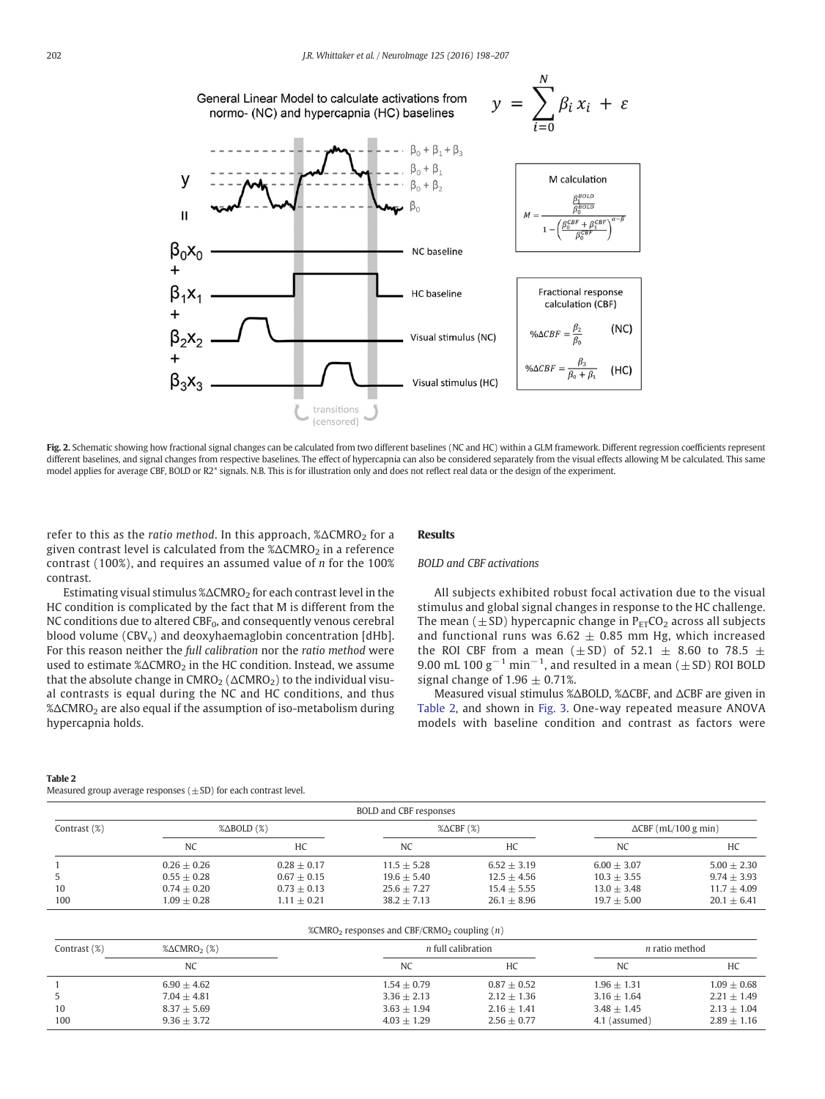<span id="page-4-0"></span>

Fig. 2. Schematic showing how fractional signal changes can be calculated from two different baselines (NC and HC) within a GLM framework. Different regression coefficients represent different baselines, and signal changes from respective baselines. The effect of hypercapnia can also be considered separately from the visual effects allowing M be calculated. This same model applies for average CBF, BOLD or R2<sup>\*</sup> signals. N.B. This is for illustration only and does not reflect real data or the design of the experiment.

refer to this as the ratio method. In this approach, %ΔCMRO<sub>2</sub> for a given contrast level is calculated from the %ΔCMRO<sub>2</sub> in a reference contrast (100%), and requires an assumed value of n for the 100% contrast.

# **Results**

# BOLD and CBF activations

Estimating visual stimulus  $\% \Delta CMRO<sub>2</sub>$  for each contrast level in the HC condition is complicated by the fact that M is different from the NC conditions due to altered  $CBF_0$ , and consequently venous cerebral blood volume  $(CBV_v)$  and deoxyhaemaglobin concentration [dHb]. For this reason neither the full calibration nor the ratio method were used to estimate  $\triangle \triangle CMRO_2$  in the HC condition. Instead, we assume that the absolute change in  $CMRO<sub>2</sub>$  ( $\triangle CMRO<sub>2</sub>$ ) to the individual visual contrasts is equal during the NC and HC conditions, and thus %ΔCMRO2 are also equal if the assumption of iso-metabolism during hypercapnia holds.

All subjects exhibited robust focal activation due to the visual stimulus and global signal changes in response to the HC challenge. The mean ( $\pm$ SD) hypercapnic change in  $P_{ET}CO_2$  across all subjects and functional runs was  $6.62 \pm 0.85$  mm Hg, which increased the ROI CBF from a mean ( $\pm$  SD) of 52.1  $\pm$  8.60 to 78.5  $\pm$ 9.00 mL 100  $g^{-1}$  min<sup>-1</sup>, and resulted in a mean ( $\pm$  SD) ROI BOLD signal change of  $1.96 \pm 0.71$ %.

Measured visual stimulus %ΔBOLD, %ΔCBF, and ΔCBF are given in Table 2, and shown in [Fig. 3](#page-5-0). One-way repeated measure ANOVA models with baseline condition and contrast as factors were

#### Table 2

Measured group average responses  $(\pm SD)$  for each contrast level.

| BOLD and CBF responses |                              |               |                       |               |                             |               |  |  |  |
|------------------------|------------------------------|---------------|-----------------------|---------------|-----------------------------|---------------|--|--|--|
| Contrast $(\%)$        | $\%$ $\triangle$ BOLD $(\%)$ |               | $% \triangle CBF$ (%) |               | $\Delta CBF$ (mL/100 g min) |               |  |  |  |
|                        | <b>NC</b>                    | HC            | NC                    | HC            | NC                          | HC            |  |  |  |
|                        | $0.26 + 0.26$                | $0.28 + 0.17$ | $11.5 + 5.28$         | $6.52 + 3.19$ | $6.00 + 3.07$               | $5.00 + 2.30$ |  |  |  |
|                        | $0.55 + 0.28$                | $0.67 + 0.15$ | $19.6 + 5.40$         | $12.5 + 4.56$ | $10.3 + 3.55$               | $9.74 + 3.93$ |  |  |  |
| 10                     | $0.74 + 0.20$                | $0.73 + 0.13$ | $25.6 + 7.27$         | $15.4 + 5.55$ | $13.0 + 3.48$               | $11.7 + 4.09$ |  |  |  |
| 100                    | $1.09 + 0.28$                | $1.11 + 0.21$ | $38.2 + 7.13$         | $26.1 + 8.96$ | $19.7 + 5.00$               | $20.1 + 6.41$ |  |  |  |

| %CMRO <sub>2</sub> responses and CBF/CRMO <sub>2</sub> coupling $(n)$ |                                     |                |                           |               |                       |  |  |  |  |
|-----------------------------------------------------------------------|-------------------------------------|----------------|---------------------------|---------------|-----------------------|--|--|--|--|
| Contrast $(\%)$                                                       | $% \triangle CMRO$ <sub>2</sub> (%) |                | <i>n</i> full calibration |               | <i>n</i> ratio method |  |  |  |  |
|                                                                       | <b>NC</b>                           | N <sub>C</sub> | HC                        | NC            | HC                    |  |  |  |  |
|                                                                       | $6.90 + 4.62$                       | $1.54 + 0.79$  | $0.87 + 0.52$             | $1.96 + 1.31$ | $1.09 + 0.68$         |  |  |  |  |
|                                                                       | $7.04 + 4.81$                       | $3.36 + 2.13$  | $2.12 + 1.36$             | $3.16 + 1.64$ | $2.21 + 1.49$         |  |  |  |  |
| 10                                                                    | $8.37 + 5.69$                       | $3.63 + 1.94$  | $2.16 + 1.41$             | $3.48 + 1.45$ | $2.13 + 1.04$         |  |  |  |  |
| 100                                                                   | $9.36 + 3.72$                       | $4.03 + 1.29$  | $2.56 + 0.77$             | 4.1 (assumed) | $2.89 + 1.16$         |  |  |  |  |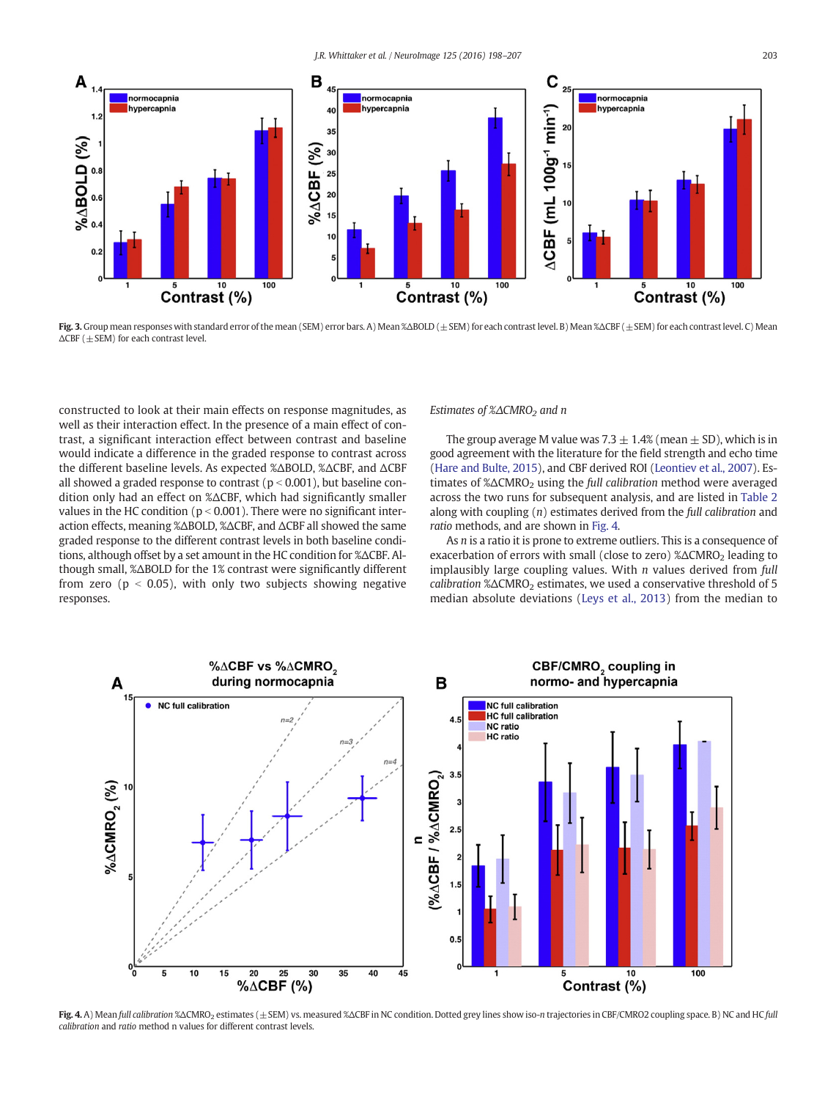<span id="page-5-0"></span>

Fig. 3.Group mean responses with standard error of the mean (SEM) error bars. A) Mean %ΔBOLD (±SEM) for each contrast level. B) Mean %ΔCBF (±SEM) for each contrast level. C) Mean  $\triangle$ CBF (  $+$  SEM) for each contrast level.

constructed to look at their main effects on response magnitudes, as well as their interaction effect. In the presence of a main effect of contrast, a significant interaction effect between contrast and baseline would indicate a difference in the graded response to contrast across the different baseline levels. As expected %ΔBOLD, %ΔCBF, and ΔCBF all showed a graded response to contrast ( $p < 0.001$ ), but baseline condition only had an effect on %ΔCBF, which had significantly smaller values in the HC condition ( $p < 0.001$ ). There were no significant interaction effects, meaning %ΔBOLD, %ΔCBF, and ΔCBF all showed the same graded response to the different contrast levels in both baseline conditions, although offset by a set amount in the HC condition for %ΔCBF. Although small, %ΔBOLD for the 1% contrast were significantly different from zero ( $p < 0.05$ ), with only two subjects showing negative responses.

Estimates of %ΔCMRO<sub>2</sub> and n

The group average M value was 7.3  $\pm$  1.4% (mean  $\pm$  SD), which is in good agreement with the literature for the field strength and echo time [\(Hare and Bulte, 2015](#page-8-0)), and CBF derived ROI ([Leontiev et al., 2007](#page-9-0)). Estimates of %ΔCMRO<sub>2</sub> using the full calibration method were averaged across the two runs for subsequent analysis, and are listed in [Table 2](#page-4-0) along with coupling  $(n)$  estimates derived from the full calibration and ratio methods, and are shown in Fig. 4.

As *n* is a ratio it is prone to extreme outliers. This is a consequence of exacerbation of errors with small (close to zero) %ΔCMRO<sub>2</sub> leading to implausibly large coupling values. With  $n$  values derived from  $full$ calibration  $\% \triangle CMRO_2$  estimates, we used a conservative threshold of 5 median absolute deviations ([Leys et al., 2013](#page-9-0)) from the median to



Fig. 4. A) Mean full calibration %ΔCMRO<sub>2</sub> estimates (±SEM) vs. measured %ΔCBF in NC condition. Dotted grey lines show iso-n trajectories in CBF/CMRO2 coupling space. B) NC and HC full calibration and ratio method n values for different contrast levels.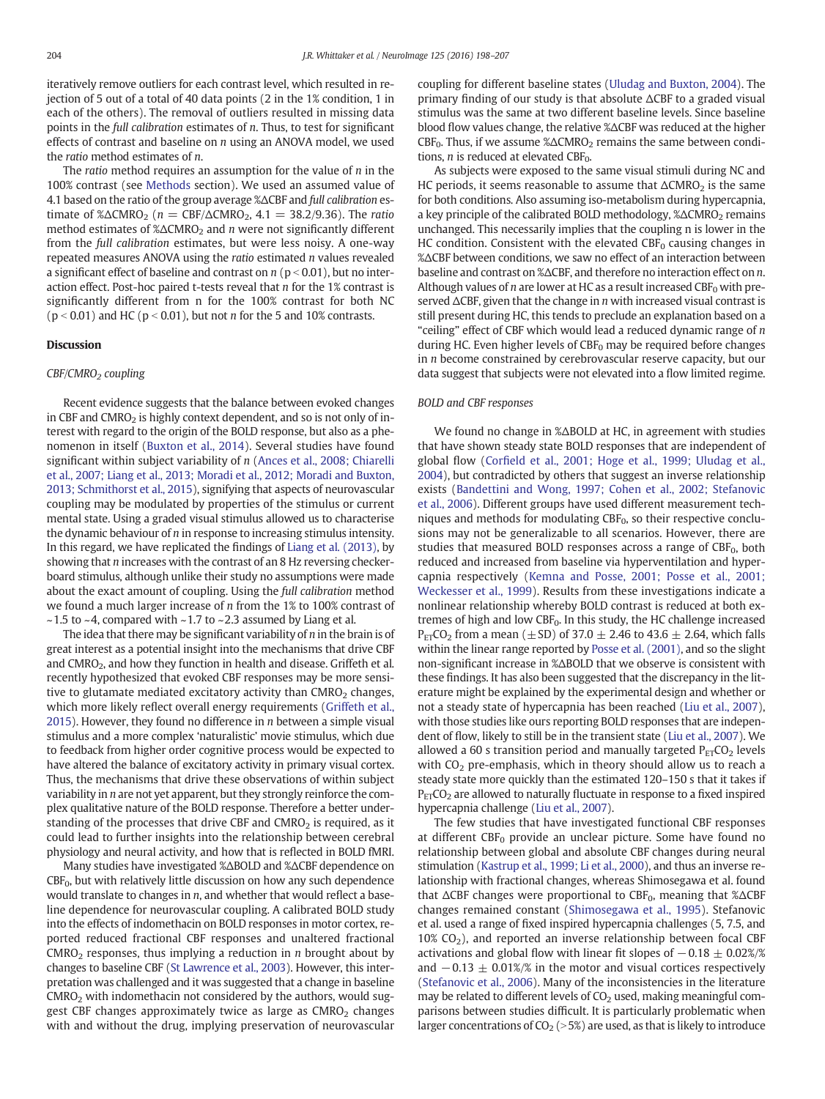iteratively remove outliers for each contrast level, which resulted in rejection of 5 out of a total of 40 data points (2 in the 1% condition, 1 in each of the others). The removal of outliers resulted in missing data points in the full calibration estimates of n. Thus, to test for significant effects of contrast and baseline on n using an ANOVA model, we used the ratio method estimates of n.

The ratio method requires an assumption for the value of  $n$  in the 100% contrast (see [Methods](#page-1-0) section). We used an assumed value of 4.1 based on the ratio of the group average %ΔCBF and full calibration estimate of % $\triangle CMRO_2$  (n = CBF/ $\triangle CMRO_2$ , 4.1 = 38.2/9.36). The ratio method estimates of  $\triangle \triangle CMRO_2$  and *n* were not significantly different from the full calibration estimates, but were less noisy. A one-way repeated measures ANOVA using the ratio estimated n values revealed a significant effect of baseline and contrast on  $n$  ( $p < 0.01$ ), but no interaction effect. Post-hoc paired t-tests reveal that  $n$  for the 1% contrast is significantly different from n for the 100% contrast for both NC  $(p < 0.01)$  and HC  $(p < 0.01)$ , but not *n* for the 5 and 10% contrasts.

# **Discussion**

# CBF/CMRO<sub>2</sub> coupling

Recent evidence suggests that the balance between evoked changes in CBF and CMRO<sub>2</sub> is highly context dependent, and so is not only of interest with regard to the origin of the BOLD response, but also as a phenomenon in itself [\(Buxton et al., 2014](#page-8-0)). Several studies have found significant within subject variability of n [\(Ances et al., 2008; Chiarelli](#page-8-0) [et al., 2007; Liang et al., 2013; Moradi et al., 2012; Moradi and Buxton,](#page-8-0) [2013; Schmithorst et al., 2015\)](#page-8-0), signifying that aspects of neurovascular coupling may be modulated by properties of the stimulus or current mental state. Using a graded visual stimulus allowed us to characterise the dynamic behaviour of n in response to increasing stimulus intensity. In this regard, we have replicated the findings of [Liang et al. \(2013\)](#page-9-0), by showing that n increases with the contrast of an 8 Hz reversing checkerboard stimulus, although unlike their study no assumptions were made about the exact amount of coupling. Using the full calibration method we found a much larger increase of n from the 1% to 100% contrast of  $\sim$  1.5 to  $\sim$  4, compared with  $\sim$  1.7 to  $\sim$  2.3 assumed by Liang et al.

The idea that there may be significant variability of  $n$  in the brain is of great interest as a potential insight into the mechanisms that drive CBF and CMRO<sub>2</sub>, and how they function in health and disease. Griffeth et al. recently hypothesized that evoked CBF responses may be more sensitive to glutamate mediated excitatory activity than  $CMRO<sub>2</sub>$  changes, which more likely reflect overall energy requirements [\(Griffeth et al.,](#page-8-0) [2015\)](#page-8-0). However, they found no difference in  $n$  between a simple visual stimulus and a more complex 'naturalistic' movie stimulus, which due to feedback from higher order cognitive process would be expected to have altered the balance of excitatory activity in primary visual cortex. Thus, the mechanisms that drive these observations of within subject variability in n are not yet apparent, but they strongly reinforce the complex qualitative nature of the BOLD response. Therefore a better understanding of the processes that drive CBF and  $CMRO<sub>2</sub>$  is required, as it could lead to further insights into the relationship between cerebral physiology and neural activity, and how that is reflected in BOLD fMRI.

Many studies have investigated %ΔBOLD and %ΔCBF dependence on  $CBF_0$ , but with relatively little discussion on how any such dependence would translate to changes in  $n$ , and whether that would reflect a baseline dependence for neurovascular coupling. A calibrated BOLD study into the effects of indomethacin on BOLD responses in motor cortex, reported reduced fractional CBF responses and unaltered fractional  $CMRO<sub>2</sub>$  responses, thus implying a reduction in *n* brought about by changes to baseline CBF [\(St Lawrence et al., 2003](#page-9-0)). However, this interpretation was challenged and it was suggested that a change in baseline  $CMRO<sub>2</sub>$  with indomethacin not considered by the authors, would suggest CBF changes approximately twice as large as  $CMRO<sub>2</sub>$  changes with and without the drug, implying preservation of neurovascular coupling for different baseline states ([Uludag and Buxton, 2004\)](#page-9-0). The primary finding of our study is that absolute ΔCBF to a graded visual stimulus was the same at two different baseline levels. Since baseline blood flow values change, the relative %ΔCBF was reduced at the higher  $CBF<sub>0</sub>$ . Thus, if we assume % $\triangle CMRO<sub>2</sub>$  remains the same between conditions,  $n$  is reduced at elevated CBF<sub>0</sub>.

As subjects were exposed to the same visual stimuli during NC and HC periods, it seems reasonable to assume that  $\Delta CMRO_2$  is the same for both conditions. Also assuming iso-metabolism during hypercapnia, a key principle of the calibrated BOLD methodology, %ΔCMRO<sub>2</sub> remains unchanged. This necessarily implies that the coupling n is lower in the HC condition. Consistent with the elevated  $CBF_0$  causing changes in %ΔCBF between conditions, we saw no effect of an interaction between baseline and contrast on %ΔCBF, and therefore no interaction effect on n. Although values of *n* are lower at HC as a result increased CBF<sub>0</sub> with preserved ΔCBF, given that the change in n with increased visual contrast is still present during HC, this tends to preclude an explanation based on a "ceiling" effect of CBF which would lead a reduced dynamic range of  $n$ during HC. Even higher levels of  $CBF_0$  may be required before changes in  $n$  become constrained by cerebrovascular reserve capacity, but our data suggest that subjects were not elevated into a flow limited regime.

#### BOLD and CBF responses

We found no change in %ΔBOLD at HC, in agreement with studies that have shown steady state BOLD responses that are independent of global flow (Corfi[eld et al., 2001; Hoge et al., 1999; Uludag et al.,](#page-8-0) [2004\)](#page-8-0), but contradicted by others that suggest an inverse relationship exists ([Bandettini and Wong, 1997; Cohen et al., 2002; Stefanovic](#page-8-0) [et al., 2006](#page-8-0)). Different groups have used different measurement techniques and methods for modulating  $CBF_0$ , so their respective conclusions may not be generalizable to all scenarios. However, there are studies that measured BOLD responses across a range of  $CBF_0$ , both reduced and increased from baseline via hyperventilation and hypercapnia respectively ([Kemna and Posse, 2001; Posse et al., 2001;](#page-8-0) [Weckesser et al., 1999](#page-8-0)). Results from these investigations indicate a nonlinear relationship whereby BOLD contrast is reduced at both extremes of high and low  $CBF_0$ . In this study, the HC challenge increased  $P_{ET}CO_2$  from a mean ( $\pm$ SD) of 37.0  $\pm$  2.46 to 43.6  $\pm$  2.64, which falls within the linear range reported by [Posse et al. \(2001\),](#page-9-0) and so the slight non-significant increase in %ΔBOLD that we observe is consistent with these findings. It has also been suggested that the discrepancy in the literature might be explained by the experimental design and whether or not a steady state of hypercapnia has been reached [\(Liu et al., 2007](#page-9-0)), with those studies like ours reporting BOLD responses that are independent of flow, likely to still be in the transient state [\(Liu et al., 2007](#page-9-0)). We allowed a 60 s transition period and manually targeted  $P_{ET}CO<sub>2</sub>$  levels with  $CO<sub>2</sub>$  pre-emphasis, which in theory should allow us to reach a steady state more quickly than the estimated 120–150 s that it takes if  $P_{ET}CO_2$  are allowed to naturally fluctuate in response to a fixed inspired hypercapnia challenge [\(Liu et al., 2007](#page-9-0)).

The few studies that have investigated functional CBF responses at different  $CBF_0$  provide an unclear picture. Some have found no relationship between global and absolute CBF changes during neural stimulation [\(Kastrup et al., 1999; Li et al., 2000\)](#page-8-0), and thus an inverse relationship with fractional changes, whereas Shimosegawa et al. found that  $\triangle$ CBF changes were proportional to CBF<sub>0</sub>, meaning that  $\triangle$  $\triangle$ CBF changes remained constant ([Shimosegawa et al., 1995](#page-9-0)). Stefanovic et al. used a range of fixed inspired hypercapnia challenges (5, 7.5, and  $10\%$  CO<sub>2</sub>), and reported an inverse relationship between focal CBF activations and global flow with linear fit slopes of  $-0.18 \pm 0.02\%/%$ and  $-0.13 \pm 0.01\%/$ % in the motor and visual cortices respectively [\(Stefanovic et al., 2006\)](#page-9-0). Many of the inconsistencies in the literature may be related to different levels of  $CO<sub>2</sub>$  used, making meaningful comparisons between studies difficult. It is particularly problematic when larger concentrations of  $CO<sub>2</sub> (> 5%)$  are used, as that is likely to introduce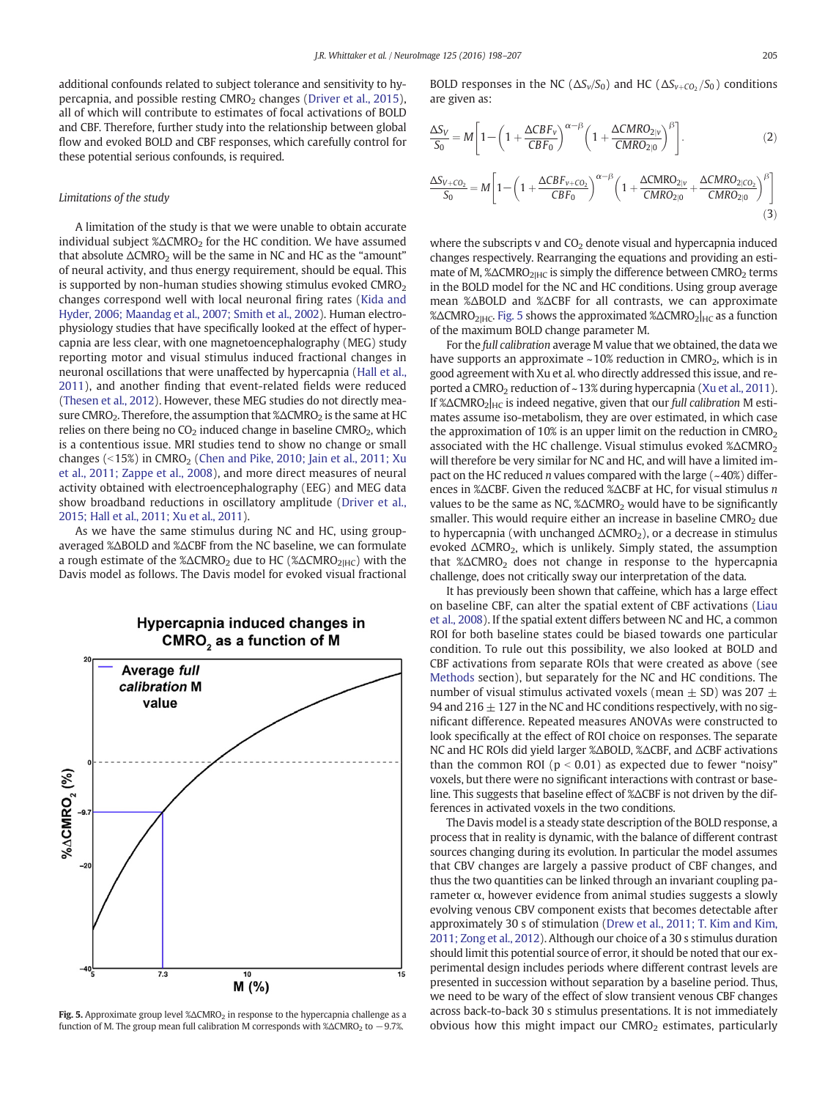additional confounds related to subject tolerance and sensitivity to hy-percapnia, and possible resting CMRO<sub>2</sub> changes ([Driver et al., 2015](#page-8-0)), all of which will contribute to estimates of focal activations of BOLD and CBF. Therefore, further study into the relationship between global flow and evoked BOLD and CBF responses, which carefully control for these potential serious confounds, is required.

#### Limitations of the study

A limitation of the study is that we were unable to obtain accurate individual subject  $\% \triangle CMRO<sub>2</sub>$  for the HC condition. We have assumed that absolute  $\Delta CMRO<sub>2</sub>$  will be the same in NC and HC as the "amount" of neural activity, and thus energy requirement, should be equal. This is supported by non-human studies showing stimulus evoked  $CMRO<sub>2</sub>$ changes correspond well with local neuronal firing rates ([Kida and](#page-8-0) [Hyder, 2006; Maandag et al., 2007; Smith et al., 2002\)](#page-8-0). Human electrophysiology studies that have specifically looked at the effect of hypercapnia are less clear, with one magnetoencephalography (MEG) study reporting motor and visual stimulus induced fractional changes in neuronal oscillations that were unaffected by hypercapnia ([Hall et al.,](#page-8-0) [2011\)](#page-8-0), and another finding that event-related fields were reduced [\(Thesen et al., 2012](#page-9-0)). However, these MEG studies do not directly measure CMRO<sub>2</sub>. Therefore, the assumption that %ΔCMRO<sub>2</sub> is the same at HC relies on there being no  $CO<sub>2</sub>$  induced change in baseline CMRO<sub>2</sub>, which is a contentious issue. MRI studies tend to show no change or small changes ( $\langle 15\% \rangle$  in CMRO<sub>2</sub> ([Chen and Pike, 2010; Jain et al., 2011; Xu](#page-8-0) [et al., 2011; Zappe et al., 2008\)](#page-8-0), and more direct measures of neural activity obtained with electroencephalography (EEG) and MEG data show broadband reductions in oscillatory amplitude ([Driver et al.,](#page-8-0) [2015; Hall et al., 2011; Xu et al., 2011](#page-8-0)).

As we have the same stimulus during NC and HC, using groupaveraged %ΔBOLD and %ΔCBF from the NC baseline, we can formulate a rough estimate of the % $\triangle CMRO_2$  due to HC (% $\triangle CMRO_{2|HC}$ ) with the Davis model as follows. The Davis model for evoked visual fractional



Fig. 5. Approximate group level  $\% \Delta CMRO_2$  in response to the hypercapnia challenge as a function of M. The group mean full calibration M corresponds with % $\triangle CMRO_2$  to  $-9.7%$ .

BOLD responses in the NC ( $\Delta S_v/S_0$ ) and HC ( $\Delta S_{v+C_0/5_0}$ ) conditions are given as:

$$
\frac{\Delta S_V}{S_0} = M \left[ 1 - \left( 1 + \frac{\Delta CBF_v}{CBF_0} \right)^{\alpha - \beta} \left( 1 + \frac{\Delta CMRO_{2|V}}{CMRO_{2|0}} \right)^{\beta} \right].
$$
\n(2)

$$
\frac{\Delta S_{V+CO_2}}{S_0} = M \left[ 1 - \left( 1 + \frac{\Delta CBF_{V+CO_2}}{CBF_0} \right)^{\alpha-\beta} \left( 1 + \frac{\Delta CMRO_{2|V}}{CMRO_{2|0}} + \frac{\Delta CMRO_{2|CO_2}}{CMRO_{2|0}} \right)^{\beta} \right]
$$
(3)

where the subscripts v and  $CO<sub>2</sub>$  denote visual and hypercapnia induced changes respectively. Rearranging the equations and providing an estimate of M, %ΔCMRO<sub>2lHC</sub> is simply the difference between CMRO<sub>2</sub> terms in the BOLD model for the NC and HC conditions. Using group average mean %ΔBOLD and %ΔCBF for all contrasts, we can approximate %ΔCMRO<sub>2lHC</sub>. Fig. 5 shows the approximated %ΔCMRO<sub>2lHC</sub> as a function of the maximum BOLD change parameter M.

For the full calibration average M value that we obtained, the data we have supports an approximate  $\sim$ 10% reduction in CMRO<sub>2</sub>, which is in good agreement with Xu et al. who directly addressed this issue, and re-ported a CMRO<sub>2</sub> reduction of ~13% during hypercapnia [\(Xu et al., 2011](#page-9-0)). If % $\triangle CMRO_2|_{HC}$  is indeed negative, given that our full calibration M estimates assume iso-metabolism, they are over estimated, in which case the approximation of 10% is an upper limit on the reduction in  $CMRO<sub>2</sub>$ associated with the HC challenge. Visual stimulus evoked %ΔCMRO<sub>2</sub> will therefore be very similar for NC and HC, and will have a limited impact on the HC reduced *n* values compared with the large  $(-40%)$  differences in %ΔCBF. Given the reduced %ΔCBF at HC, for visual stimulus n values to be the same as NC,  $\triangle \triangle CMRO_2$  would have to be significantly smaller. This would require either an increase in baseline  $CMRO<sub>2</sub>$  due to hypercapnia (with unchanged  $\Delta CMRO_2$ ), or a decrease in stimulus evoked  $\Delta CMRO_2$ , which is unlikely. Simply stated, the assumption that %ΔCMRO<sub>2</sub> does not change in response to the hypercapnia challenge, does not critically sway our interpretation of the data.

It has previously been shown that caffeine, which has a large effect on baseline CBF, can alter the spatial extent of CBF activations [\(Liau](#page-9-0) [et al., 2008\)](#page-9-0). If the spatial extent differs between NC and HC, a common ROI for both baseline states could be biased towards one particular condition. To rule out this possibility, we also looked at BOLD and CBF activations from separate ROIs that were created as above (see [Methods](#page-1-0) section), but separately for the NC and HC conditions. The number of visual stimulus activated voxels (mean  $\pm$  SD) was 207  $\pm$ 94 and 216  $\pm$  127 in the NC and HC conditions respectively, with no significant difference. Repeated measures ANOVAs were constructed to look specifically at the effect of ROI choice on responses. The separate NC and HC ROIs did yield larger %ΔBOLD, %ΔCBF, and ΔCBF activations than the common ROI ( $p < 0.01$ ) as expected due to fewer "noisy" voxels, but there were no significant interactions with contrast or baseline. This suggests that baseline effect of %ΔCBF is not driven by the differences in activated voxels in the two conditions.

The Davis model is a steady state description of the BOLD response, a process that in reality is dynamic, with the balance of different contrast sources changing during its evolution. In particular the model assumes that CBV changes are largely a passive product of CBF changes, and thus the two quantities can be linked through an invariant coupling parameter  $\alpha$ , however evidence from animal studies suggests a slowly evolving venous CBV component exists that becomes detectable after approximately 30 s of stimulation [\(Drew et al., 2011; T. Kim and Kim,](#page-8-0) [2011; Zong et al., 2012\)](#page-8-0). Although our choice of a 30 s stimulus duration should limit this potential source of error, it should be noted that our experimental design includes periods where different contrast levels are presented in succession without separation by a baseline period. Thus, we need to be wary of the effect of slow transient venous CBF changes across back-to-back 30 s stimulus presentations. It is not immediately obvious how this might impact our  $CMRO<sub>2</sub>$  estimates, particularly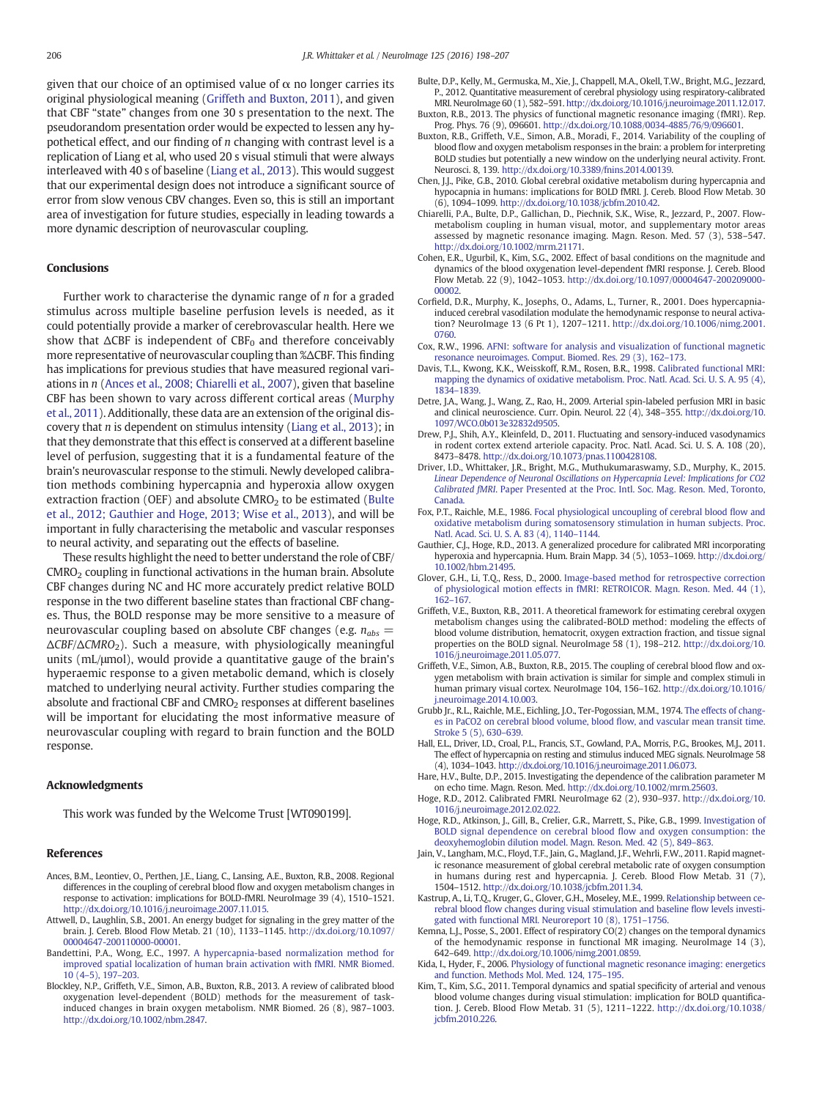<span id="page-8-0"></span>given that our choice of an optimised value of  $\alpha$  no longer carries its original physiological meaning (Griffeth and Buxton, 2011), and given that CBF "state" changes from one 30 s presentation to the next. The pseudorandom presentation order would be expected to lessen any hypothetical effect, and our finding of  $n$  changing with contrast level is a replication of Liang et al, who used 20 s visual stimuli that were always interleaved with 40 s of baseline [\(Liang et al., 2013\)](#page-9-0). This would suggest that our experimental design does not introduce a significant source of error from slow venous CBV changes. Even so, this is still an important area of investigation for future studies, especially in leading towards a more dynamic description of neurovascular coupling.

# Conclusions

Further work to characterise the dynamic range of n for a graded stimulus across multiple baseline perfusion levels is needed, as it could potentially provide a marker of cerebrovascular health. Here we show that  $\triangle CBF$  is independent of  $CBF_0$  and therefore conceivably more representative of neurovascular coupling than %ΔCBF. This finding has implications for previous studies that have measured regional variations in n (Ances et al., 2008; Chiarelli et al., 2007), given that baseline CBF has been shown to vary across different cortical areas [\(Murphy](#page-9-0) [et al., 2011](#page-9-0)). Additionally, these data are an extension of the original discovery that  $n$  is dependent on stimulus intensity [\(Liang et al., 2013\)](#page-9-0); in that they demonstrate that this effect is conserved at a different baseline level of perfusion, suggesting that it is a fundamental feature of the brain's neurovascular response to the stimuli. Newly developed calibration methods combining hypercapnia and hyperoxia allow oxygen extraction fraction (OEF) and absolute  $CMRO<sub>2</sub>$  to be estimated (Bulte et al., 2012; Gauthier and Hoge, 2013; Wise et al., 2013), and will be important in fully characterising the metabolic and vascular responses to neural activity, and separating out the effects of baseline.

These results highlight the need to better understand the role of CBF/  $CMRO<sub>2</sub> coupling in functional activations in the human brain. Absolute$ CBF changes during NC and HC more accurately predict relative BOLD response in the two different baseline states than fractional CBF changes. Thus, the BOLD response may be more sensitive to a measure of neurovascular coupling based on absolute CBF changes (e.g.  $n_{abs}$  =  $\Delta CBF/\Delta CMRO_2$ ). Such a measure, with physiologically meaningful units (mL/μmol), would provide a quantitative gauge of the brain's hyperaemic response to a given metabolic demand, which is closely matched to underlying neural activity. Further studies comparing the absolute and fractional CBF and  $CMRO<sub>2</sub>$  responses at different baselines will be important for elucidating the most informative measure of neurovascular coupling with regard to brain function and the BOLD response.

### Acknowledgments

This work was funded by the Welcome Trust [WT090199].

#### References

- Ances, B.M., Leontiev, O., Perthen, J.E., Liang, C., Lansing, A.E., Buxton, R.B., 2008. Regional differences in the coupling of cerebral blood flow and oxygen metabolism changes in response to activation: implications for BOLD-fMRI. NeuroImage 39 (4), 1510–1521. http://dx.doi.org[/10.1016/j.neuroimage.2007.11.015.](http://dx.doi.org/10.1016/j.neuroimage.2007.11.015)
- Attwell, D., Laughlin, S.B., 2001. An energy budget for signaling in the grey matter of the brain. J. Cereb. Blood Flow Metab. 21 (10), 1133–1145. http://dx.doi.org[/10.1097/](http://dx.doi.org/10.1097/00004647-200110000-00001) [00004647-200110000-00001.](http://dx.doi.org/10.1097/00004647-200110000-00001)
- Bandettini, P.A., Wong, E.C., 1997. [A hypercapnia-based normalization method for](http://refhub.elsevier.com/S1053-8119(15)00924-6/rf0015) [improved spatial localization of human brain activation with fMRI. NMR Biomed.](http://refhub.elsevier.com/S1053-8119(15)00924-6/rf0015) 10 (4–[5\), 197](http://refhub.elsevier.com/S1053-8119(15)00924-6/rf0015)–203.
- Blockley, N.P., Griffeth, V.E., Simon, A.B., Buxton, R.B., 2013. A review of calibrated blood oxygenation level-dependent (BOLD) methods for the measurement of taskinduced changes in brain oxygen metabolism. NMR Biomed. 26 (8), 987–1003. http://dx.doi.org[/10.1002/nbm.2847](http://dx.doi.org/10.1002/nbm.2847).
- Bulte, D.P., Kelly, M., Germuska, M., Xie, J., Chappell, M.A., Okell, T.W., Bright, M.G., Jezzard, P., 2012. Quantitative measurement of cerebral physiology using respiratory-calibrated MRI. NeuroImage 60 (1), 582–591. http://dx.doi.org[/10.1016/j.neuroimage.2011.12.017](http://dx.doi.org/10.1016/j.neuroimage.2011.12.017).
- Buxton, R.B., 2013. The physics of functional magnetic resonance imaging (fMRI). Rep. Prog. Phys. 76 (9), 096601. http://dx.doi.org[/10.1088/0034-4885/76/9/096601.](http://dx.doi.org/10.1088/0034-4885/76/9/096601)
- Buxton, R.B., Griffeth, V.E., Simon, A.B., Moradi, F., 2014. Variability of the coupling of blood flow and oxygen metabolism responses in the brain: a problem for interpreting BOLD studies but potentially a new window on the underlying neural activity. Front. Neurosci. 8, 139. http://dx.doi.org[/10.3389/fnins.2014.00139.](http://dx.doi.org/10.3389/fnins.2014.00139)
- Chen, J.J., Pike, G.B., 2010. Global cerebral oxidative metabolism during hypercapnia and hypocapnia in humans: implications for BOLD fMRI. J. Cereb. Blood Flow Metab. 30 (6), 1094–1099. http://dx.doi.org[/10.1038/jcbfm.2010.42.](http://dx.doi.org/10.1038/jcbfm.2010.42)
- Chiarelli, P.A., Bulte, D.P., Gallichan, D., Piechnik, S.K., Wise, R., Jezzard, P., 2007. Flowmetabolism coupling in human visual, motor, and supplementary motor areas assessed by magnetic resonance imaging. Magn. Reson. Med. 57 (3), 538–547. http://dx.doi.org[/10.1002/mrm.21171](http://dx.doi.org/10.1002/mrm.21171).
- Cohen, E.R., Ugurbil, K., Kim, S.G., 2002. Effect of basal conditions on the magnitude and dynamics of the blood oxygenation level-dependent fMRI response. J. Cereb. Blood Flow Metab. 22 (9), 1042–1053. http://dx.doi.org[/10.1097/00004647-200209000-](http://dx.doi.org/10.1097/00004647-200209000-00002) [00002](http://dx.doi.org/10.1097/00004647-200209000-00002).
- Corfield, D.R., Murphy, K., Josephs, O., Adams, L., Turner, R., 2001. Does hypercapniainduced cerebral vasodilation modulate the hemodynamic response to neural activation? NeuroImage 13 (6 Pt 1), 1207–1211. http://dx.doi.org/[10.1006/nimg.2001.](http://dx.doi.org/10.1006/nimg.2001.0760) [0760.](http://dx.doi.org/10.1006/nimg.2001.0760)
- Cox, R.W., 1996. [AFNI: software for analysis and visualization of functional magnetic](http://refhub.elsevier.com/S1053-8119(15)00924-6/rf0060) [resonance neuroimages. Comput. Biomed. Res. 29 \(3\), 162](http://refhub.elsevier.com/S1053-8119(15)00924-6/rf0060)–173.
- Davis, T.L., Kwong, K.K., Weisskoff, R.M., Rosen, B.R., 1998. [Calibrated functional MRI:](http://refhub.elsevier.com/S1053-8119(15)00924-6/rf0065) [mapping the dynamics of oxidative metabolism. Proc. Natl. Acad. Sci. U. S. A. 95 \(4\),](http://refhub.elsevier.com/S1053-8119(15)00924-6/rf0065) 1834–[1839.](http://refhub.elsevier.com/S1053-8119(15)00924-6/rf0065)
- Detre, J.A., Wang, J., Wang, Z., Rao, H., 2009. Arterial spin-labeled perfusion MRI in basic and clinical neuroscience. Curr. Opin. Neurol. 22 (4), 348–355. http://dx.doi.org[/10.](http://dx.doi.org/10.1097/WCO.0b013e32832d9505) [1097/WCO.0b013e32832d9505.](http://dx.doi.org/10.1097/WCO.0b013e32832d9505)
- Drew, P.J., Shih, A.Y., Kleinfeld, D., 2011. Fluctuating and sensory-induced vasodynamics in rodent cortex extend arteriole capacity. Proc. Natl. Acad. Sci. U. S. A. 108 (20), 8473–8478. http://dx.doi.org/[10.1073/pnas.1100428108.](http://dx.doi.org/10.1073/pnas.1100428108)
- Driver, I.D., Whittaker, J.R., Bright, M.G., Muthukumaraswamy, S.D., Murphy, K., 2015. [Linear Dependence of Neuronal Oscillations on Hypercapnia Level: Implications for CO2](http://refhub.elsevier.com/S1053-8119(15)00924-6/rf0080) Calibrated fMRI[. Paper Presented at the Proc. Intl. Soc. Mag. Reson. Med, Toronto,](http://refhub.elsevier.com/S1053-8119(15)00924-6/rf0080) **[Canada](http://refhub.elsevier.com/S1053-8119(15)00924-6/rf0080)**
- Fox, P.T., Raichle, M.E., 1986. [Focal physiological uncoupling of cerebral blood](http://refhub.elsevier.com/S1053-8119(15)00924-6/rf0085) flow and [oxidative metabolism during somatosensory stimulation in human subjects. Proc.](http://refhub.elsevier.com/S1053-8119(15)00924-6/rf0085) [Natl. Acad. Sci. U. S. A. 83 \(4\), 1140](http://refhub.elsevier.com/S1053-8119(15)00924-6/rf0085)–1144.
- Gauthier, C.J., Hoge, R.D., 2013. A generalized procedure for calibrated MRI incorporating hyperoxia and hypercapnia. Hum. Brain Mapp. 34 (5), 1053-1069. http://dx.doi.org [10.1002/hbm.21495.](http://dx.doi.org/10.1002/hbm.21495)
- Glover, G.H., Li, T.Q., Ress, D., 2000. [Image-based method for retrospective correction](http://refhub.elsevier.com/S1053-8119(15)00924-6/rf0095) [of physiological motion effects in fMRI: RETROICOR. Magn. Reson. Med. 44 \(1\),](http://refhub.elsevier.com/S1053-8119(15)00924-6/rf0095) 162–[167.](http://refhub.elsevier.com/S1053-8119(15)00924-6/rf0095)
- Griffeth, V.E., Buxton, R.B., 2011. A theoretical framework for estimating cerebral oxygen metabolism changes using the calibrated-BOLD method: modeling the effects of blood volume distribution, hematocrit, oxygen extraction fraction, and tissue signal properties on the BOLD signal. NeuroImage 58 (1), 198–212. http://dx.doi.org[/10.](http://dx.doi.org/10.1016/j.neuroimage.2011.05.077) [1016/j.neuroimage.2011.05.077](http://dx.doi.org/10.1016/j.neuroimage.2011.05.077).
- Griffeth, V.E., Simon, A.B., Buxton, R.B., 2015. The coupling of cerebral blood flow and oxygen metabolism with brain activation is similar for simple and complex stimuli in human primary visual cortex. NeuroImage 104, 156–162. http://dx.doi.org/[10.1016/](http://dx.doi.org/10.1016/j.neuroimage.2014.10.003) [j.neuroimage.2014.10.003.](http://dx.doi.org/10.1016/j.neuroimage.2014.10.003)
- Grubb Jr., R.L., Raichle, M.E., Eichling, J.O., Ter-Pogossian, M.M., 1974. [The effects of chang](http://refhub.elsevier.com/S1053-8119(15)00924-6/rf0110)[es in PaCO2 on cerebral blood volume, blood](http://refhub.elsevier.com/S1053-8119(15)00924-6/rf0110) flow, and vascular mean transit time. [Stroke 5 \(5\), 630](http://refhub.elsevier.com/S1053-8119(15)00924-6/rf0110)–639.
- Hall, E.L., Driver, I.D., Croal, P.L., Francis, S.T., Gowland, P.A., Morris, P.G., Brookes, M.J., 2011. The effect of hypercapnia on resting and stimulus induced MEG signals. NeuroImage 58 (4), 1034–1043. http://dx.doi.org[/10.1016/j.neuroimage.2011.06.073.](http://dx.doi.org/10.1016/j.neuroimage.2011.06.073)
- Hare, H.V., Bulte, D.P., 2015. Investigating the dependence of the calibration parameter M on echo time. Magn. Reson. Med. http://dx.doi.org/[10.1002/mrm.25603.](http://dx.doi.org/10.1002/mrm.25603)
- Hoge, R.D., 2012. Calibrated FMRI. NeuroImage 62 (2), 930–937. http://dx.doi.org/[10.](http://dx.doi.org/10.1016/j.neuroimage.2012.02.022) [1016/j.neuroimage.2012.02.022](http://dx.doi.org/10.1016/j.neuroimage.2012.02.022).
- Hoge, R.D., Atkinson, J., Gill, B., Crelier, G.R., Marrett, S., Pike, G.B., 1999. [Investigation of](http://refhub.elsevier.com/S1053-8119(15)00924-6/rf0130) [BOLD signal dependence on cerebral blood](http://refhub.elsevier.com/S1053-8119(15)00924-6/rf0130) flow and oxygen consumption: the [deoxyhemoglobin dilution model. Magn. Reson. Med. 42 \(5\), 849](http://refhub.elsevier.com/S1053-8119(15)00924-6/rf0130)–863.
- Jain, V., Langham, M.C., Floyd, T.F., Jain, G., Magland, J.F., Wehrli, F.W., 2011. Rapid magnetic resonance measurement of global cerebral metabolic rate of oxygen consumption in humans during rest and hypercapnia. J. Cereb. Blood Flow Metab. 31 (7), 1504–1512. http://dx.doi.org/[10.1038/jcbfm.2011.34.](http://dx.doi.org/10.1038/jcbfm.2011.34)
- Kastrup, A., Li, T.Q., Kruger, G., Glover, G.H., Moseley, M.E., 1999. [Relationship between ce](http://refhub.elsevier.com/S1053-8119(15)00924-6/rf0140)rebral blood fl[ow changes during visual stimulation and baseline](http://refhub.elsevier.com/S1053-8119(15)00924-6/rf0140) flow levels investi[gated with functional MRI. Neuroreport 10 \(8\), 1751](http://refhub.elsevier.com/S1053-8119(15)00924-6/rf0140)–1756.
- Kemna, L.J., Posse, S., 2001. Effect of respiratory CO(2) changes on the temporal dynamics of the hemodynamic response in functional MR imaging. NeuroImage 14 (3), 642–649. http://dx.doi.org/[10.1006/nimg.2001.0859](http://dx.doi.org/10.1006/nimg.2001.0859).
- Kida, I., Hyder, F., 2006. [Physiology of functional magnetic resonance imaging: energetics](http://refhub.elsevier.com/S1053-8119(15)00924-6/rf0150) [and function. Methods Mol. Med. 124, 175](http://refhub.elsevier.com/S1053-8119(15)00924-6/rf0150)–195.
- Kim, T., Kim, S.G., 2011. Temporal dynamics and spatial specificity of arterial and venous blood volume changes during visual stimulation: implication for BOLD quantification. J. Cereb. Blood Flow Metab. 31 (5), 1211–1222. http://dx.doi.org/[10.1038/](http://dx.doi.org/10.1038/jcbfm.2010.226) [jcbfm.2010.226](http://dx.doi.org/10.1038/jcbfm.2010.226).